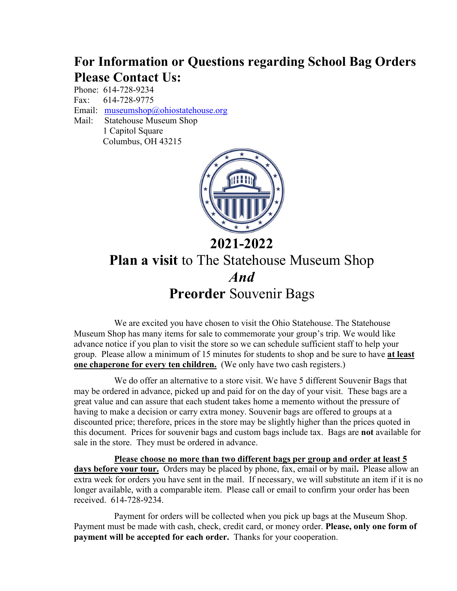# **For Information or Questions regarding School Bag Orders Please Contact Us:**

Phone: 614-728-9234

Fax: 614-728-9775

Email: museumshop@ohiostatehouse.org

Mail: Statehouse Museum Shop 1 Capitol Square Columbus, OH 43215



**2021-2022 Plan a visit** to The Statehouse Museum Shop *And* **Preorder** Souvenir Bags

We are excited you have chosen to visit the Ohio Statehouse. The Statehouse Museum Shop has many items for sale to commemorate your group's trip. We would like advance notice if you plan to visit the store so we can schedule sufficient staff to help your group. Please allow a minimum of 15 minutes for students to shop and be sure to have **at least one chaperone for every ten children.** (We only have two cash registers.)

We do offer an alternative to a store visit. We have 5 different Souvenir Bags that may be ordered in advance, picked up and paid for on the day of your visit. These bags are a great value and can assure that each student takes home a memento without the pressure of having to make a decision or carry extra money. Souvenir bags are offered to groups at a discounted price; therefore, prices in the store may be slightly higher than the prices quoted in this document. Prices for souvenir bags and custom bags include tax. Bags are **not** available for sale in the store. They must be ordered in advance.

**Please choose no more than two different bags per group and order at least 5 days before your tour.** Orders may be placed by phone, fax, email or by mail**.** Please allow an extra week for orders you have sent in the mail. If necessary, we will substitute an item if it is no longer available, with a comparable item. Please call or email to confirm your order has been received. 614-728-9234.

Payment for orders will be collected when you pick up bags at the Museum Shop. Payment must be made with cash, check, credit card, or money order. **Please, only one form of payment will be accepted for each order.** Thanks for your cooperation.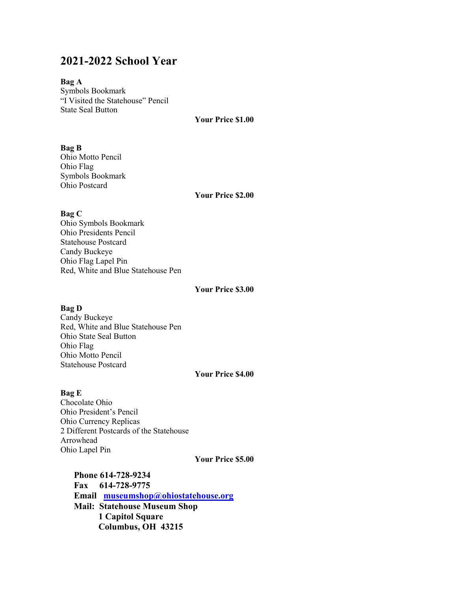# **2021-2022 School Year**

#### **Bag A**

Symbols Bookmark "I Visited the Statehouse" Pencil State Seal Button

### **Your Price \$1.00**

#### **Bag B**

Ohio Motto Pencil Ohio Flag Symbols Bookmark Ohio Postcard

#### **Your Price \$2.00**

#### **Bag C**

Ohio Symbols Bookmark Ohio Presidents Pencil Statehouse Postcard Candy Buckeye Ohio Flag Lapel Pin Red, White and Blue Statehouse Pen

#### **Your Price \$3.00**

#### **Bag D**

Candy Buckeye Red, White and Blue Statehouse Pen Ohio State Seal Button Ohio Flag Ohio Motto Pencil Statehouse Postcard

#### **Your Price \$4.00**

#### **Bag E**

Chocolate Ohio Ohio President's Pencil Ohio Currency Replicas 2 Different Postcards of the Statehouse Arrowhead Ohio Lapel Pin

#### **Your Price \$5.00**

**Phone 614-728-9234 Fax 614-728-9775 Email museumshop@ohiostatehouse.org Mail: Statehouse Museum Shop 1 Capitol Square Columbus, OH 43215**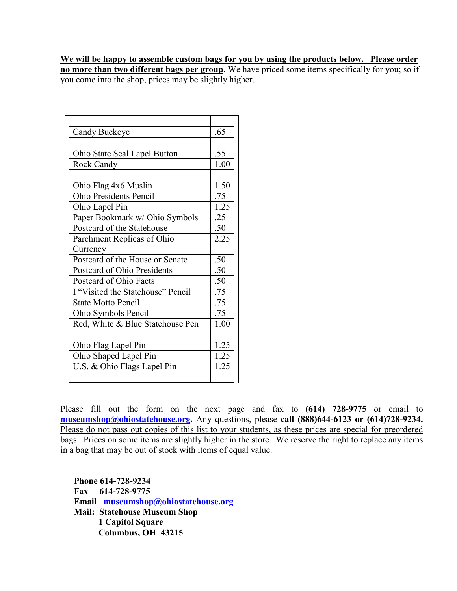### **We will be happy to assemble custom bags for you by using the products below. Please order no more than two different bags per group.** We have priced some items specifically for you; so if you come into the shop, prices may be slightly higher.

| Candy Buckeye                     | .65  |
|-----------------------------------|------|
|                                   |      |
| Ohio State Seal Lapel Button      | .55  |
| Rock Candy                        | 1.00 |
|                                   |      |
| Ohio Flag 4x6 Muslin              | 1.50 |
| <b>Ohio Presidents Pencil</b>     | .75  |
| Ohio Lapel Pin                    | 1.25 |
| Paper Bookmark w/ Ohio Symbols    | .25  |
| Postcard of the Statehouse        | .50  |
| Parchment Replicas of Ohio        | 2.25 |
| Currency                          |      |
| Postcard of the House or Senate   | .50  |
| Postcard of Ohio Presidents       | .50  |
| Postcard of Ohio Facts            | .50  |
| I "Visited the Statehouse" Pencil | .75  |
| <b>State Motto Pencil</b>         | .75  |
| Ohio Symbols Pencil               | .75  |
| Red, White & Blue Statehouse Pen  | 1.00 |
|                                   |      |
| Ohio Flag Lapel Pin               | 1.25 |
| Ohio Shaped Lapel Pin             | 1.25 |
| U.S. & Ohio Flags Lapel Pin       | 1.25 |
|                                   |      |

Please fill out the form on the next page and fax to **(614) 728-9775** or email to **[museumshop@ohiostatehouse.org.](mailto:museumshop@ohiostatehouse.org)** Any questions, please **call (888)644-6123 or (614)728-9234.** Please do not pass out copies of this list to your students, as these prices are special for preordered bags. Prices on some items are slightly higher in the store. We reserve the right to replace any items in a bag that may be out of stock with items of equal value.

**Phone 614-728-9234 Fax 614-728-9775 Email museumshop@ohiostatehouse.org Mail: Statehouse Museum Shop 1 Capitol Square Columbus, OH 43215**